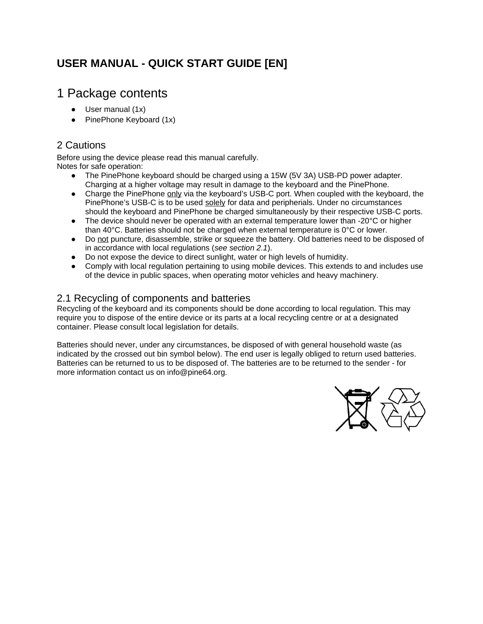### **USER MANUAL - QUICK START GUIDE [EN]**

### 1 Package contents

- $\bullet$  User manual (1x)
- $\bullet$  PinePhone Keyboard  $(1x)$

#### 2 Cautions

Before using the device please read this manual carefully. Notes for safe operation:

- The PinePhone keyboard should be charged using a 15W (5V 3A) USB-PD power adapter. Charging at a higher voltage may result in damage to the keyboard and the PinePhone.
- Charge the PinePhone only via the keyboard's USB-C port. When coupled with the keyboard, the PinePhone's USB-C is to be used solely for data and peripherials. Under no circumstances should the keyboard and PinePhone be charged simultaneously by their respective USB-C ports.
- The device should never be operated with an external temperature lower than -20°C or higher than 40°C. Batteries should not be charged when external temperature is 0°C or lower.
- Do not puncture, disassemble, strike or squeeze the battery. Old batteries need to be disposed of in accordance with local regulations (*see section 2.1*).
- Do not expose the device to direct sunlight, water or high levels of humidity.
- Comply with local regulation pertaining to using mobile devices. This extends to and includes use of the device in public spaces, when operating motor vehicles and heavy machinery.

#### 2.1 Recycling of components and batteries

Recycling of the keyboard and its components should be done according to local regulation. This may require you to dispose of the entire device or its parts at a local recycling centre or at a designated container. Please consult local legislation for details.

Batteries should never, under any circumstances, be disposed of with general household waste (as indicated by the crossed out bin symbol below). The end user is legally obliged to return used batteries. Batteries can be returned to us to be disposed of. The batteries are to be returned to the sender - for more information contact us on info@pine64.org.

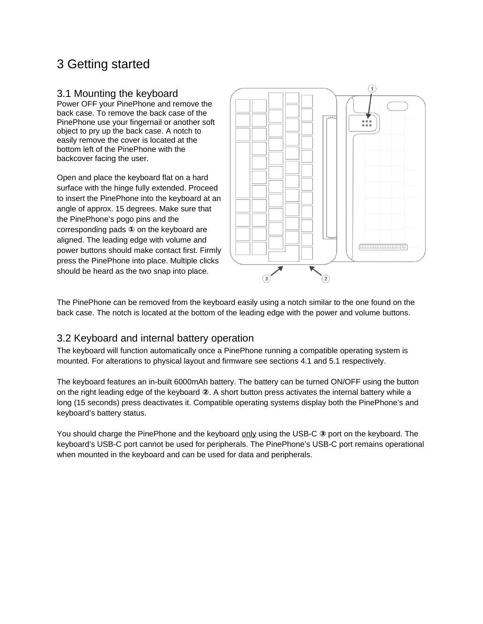## 3 Getting started

#### 3.1 Mounting the keyboard

Power OFF your PinePhone and remove the back case. To remove the back case of the PinePhone use your fingernail or another soft object to pry up the back case. A notch to easily remove the cover is located at the bottom left of the PinePhone with the backcover facing the user.

Open and place the keyboard flat on a hard surface with the hinge fully extended. Proceed to insert the PinePhone into the keyboard at an angle of approx. 15 degrees. Make sure that the PinePhone's pogo pins and the corresponding pads **①** on the keyboard are aligned. The leading edge with volume and power buttons should make contact first. Firmly press the PinePhone into place. Multiple clicks should be heard as the two snap into place.



The PinePhone can be removed from the keyboard easily using a notch similar to the one found on the back case. The notch is located at the bottom of the leading edge with the power and volume buttons.

#### 3.2 Keyboard and internal battery operation

The keyboard will function automatically once a PinePhone running a compatible operating system is mounted. For alterations to physical layout and firmware see sections 4.1 and 5.1 respectively.

The keyboard features an in-built 6000mAh battery. The battery can be turned ON/OFF using the button on the right leading edge of the keyboard **②**. A short button press activates the internal battery while a long (15 seconds) press deactivates it. Compatible operating systems display both the PinePhone's and keyboard's battery status.

You should charge the PinePhone and the keyboard only using the USB-C <sup>3</sup> port on the keyboard. The keyboard's USB-C port cannot be used for peripherals. The PinePhone's USB-C port remains operational when mounted in the keyboard and can be used for data and peripherals.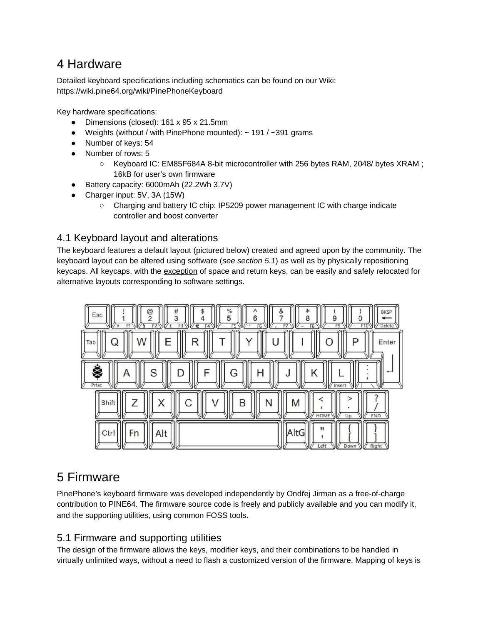## 4 Hardware

Detailed keyboard specifications including schematics can be found on our Wiki: https://wiki.pine64.org/wiki/PinePhoneKeyboard

Key hardware specifications:

- Dimensions (closed): 161 x 95 x 21.5mm
- Weights (without / with PinePhone mounted):  $\sim$  191 /  $\sim$  391 grams
- Number of keys: 54
- Number of rows: 5
	- Keyboard IC: EM85F684A 8-bit microcontroller with 256 bytes RAM, 2048/ bytes XRAM ; 16kB for user's own firmware
- Battery capacity: 6000mAh (22.2Wh 3.7V)
- Charger input: 5V, 3A (15W)
	- Charging and battery IC chip: IP5209 power management IC with charge indicate controller and boost converter

#### 4.1 Keyboard layout and alterations

The keyboard features a default layout (pictured below) created and agreed upon by the community. The keyboard layout can be altered using software (*see section 5.1*) as well as by physically repositioning keycaps. All keycaps, with the exception of space and return keys, can be easily and safely relocated for alternative layouts corresponding to software settings.



## 5 Firmware

PinePhone's keyboard firmware was developed independently by Ondřej Jirman as a free-of-charge contribution to PINE64. The firmware source code is freely and publicly available and you can modify it, and the supporting utilities, using common FOSS tools.

#### 5.1 Firmware and supporting utilities

The design of the firmware allows the keys, modifier keys, and their combinations to be handled in virtually unlimited ways, without a need to flash a customized version of the firmware. Mapping of keys is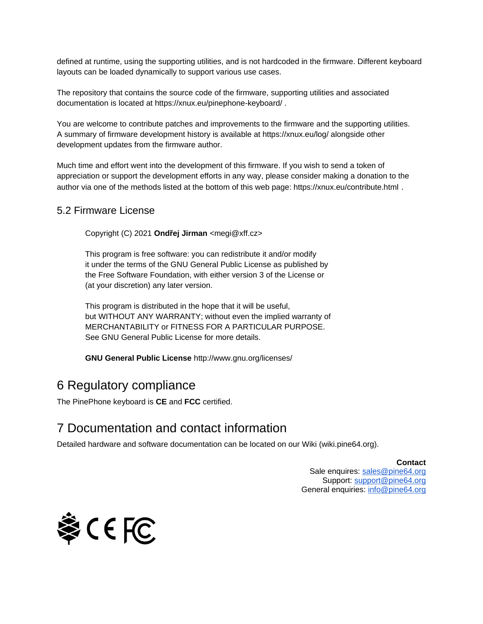defined at runtime, using the supporting utilities, and is not hardcoded in the firmware. Different keyboard layouts can be loaded dynamically to support various use cases.

The repository that contains the source code of the firmware, supporting utilities and associated documentation is located at https://xnux.eu/pinephone-keyboard/ .

You are welcome to contribute patches and improvements to the firmware and the supporting utilities. A summary of firmware development history is available at https://xnux.eu/log/ alongside other development updates from the firmware author.

Much time and effort went into the development of this firmware. If you wish to send a token of appreciation or support the development efforts in any way, please consider making a donation to the author via one of the methods listed at the bottom of this web page: https://xnux.eu/contribute.html .

#### 5.2 Firmware License

Copyright (C) 2021 **Ondřej Jirman** <megi@xff.cz>

This program is free software: you can redistribute it and/or modify it under the terms of the GNU General Public License as published by the Free Software Foundation, with either version 3 of the License or (at your discretion) any later version.

This program is distributed in the hope that it will be useful, but WITHOUT ANY WARRANTY; without even the implied warranty of MERCHANTABILITY or FITNESS FOR A PARTICULAR PURPOSE. See GNU General Public License for more details.

**GNU General Public License** http://www.gnu.org/licenses/

### 6 Regulatory compliance

The PinePhone keyboard is **CE** and **FCC** certified.

### 7 Documentation and contact information

Detailed hardware and software documentation can be located on our Wiki (wiki.pine64.org).

#### **Contact**

Sale enquires: [sales@pine64.org](mailto:sales@pine64.org) Support: [support@pine64.org](mailto:support@pine64.org) General enquiries: [info@pine64.org](mailto:info@pine64.org)

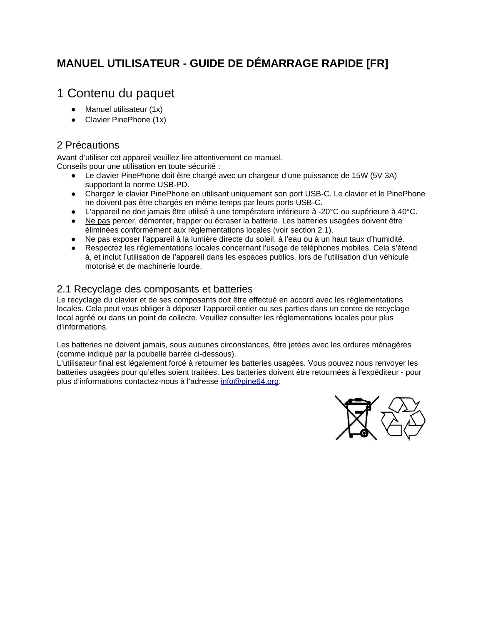### **MANUEL UTILISATEUR - GUIDE DE DÉMARRAGE RAPIDE [FR]**

### 1 Contenu du paquet

- $\bullet$  Manuel utilisateur (1x)
- Clavier PinePhone (1x)

#### 2 Précautions

Avant d'utiliser cet appareil veuillez lire attentivement ce manuel. Conseils pour une utilisation en toute sécurité :

- Le clavier PinePhone doit être chargé avec un chargeur d'une puissance de 15W (5V 3A) supportant la norme USB-PD.
- Chargez le clavier PinePhone en utilisant uniquement son port USB-C. Le clavier et le PinePhone ne doivent pas être chargés en même temps par leurs ports USB-C.
- L'appareil ne doit jamais être utilisé à une température inférieure à -20°C ou supérieure à 40°C.
- Ne pas percer, démonter, frapper ou écraser la batterie. Les batteries usagées doivent être éliminées conformément aux réglementations locales (voir section 2.1).
- Ne pas exposer l'appareil à la lumière directe du soleil, à l'eau ou à un haut taux d'humidité.
- Respectez les réglementations locales concernant l'usage de téléphones mobiles. Cela s'étend à, et inclut l'utilisation de l'appareil dans les espaces publics, lors de l'utilisation d'un véhicule motorisé et de machinerie lourde.

#### 2.1 Recyclage des composants et batteries

Le recyclage du clavier et de ses composants doit être effectué en accord avec les réglementations locales. Cela peut vous obliger à déposer l'appareil entier ou ses parties dans un centre de recyclage local agréé ou dans un point de collecte. Veuillez consulter les réglementations locales pour plus d'informations.

Les batteries ne doivent jamais, sous aucunes circonstances, être jetées avec les ordures ménagères (comme indiqué par la poubelle barrée ci-dessous).

L'utilisateur final est légalement forcé à retourner les batteries usagées. Vous pouvez nous renvoyer les batteries usagées pour qu'elles soient traitées. Les batteries doivent être retournées à l'expéditeur - pour plus d'informations contactez-nous à l'adresse [info@pine64.org](mailto:info@pine64.org).

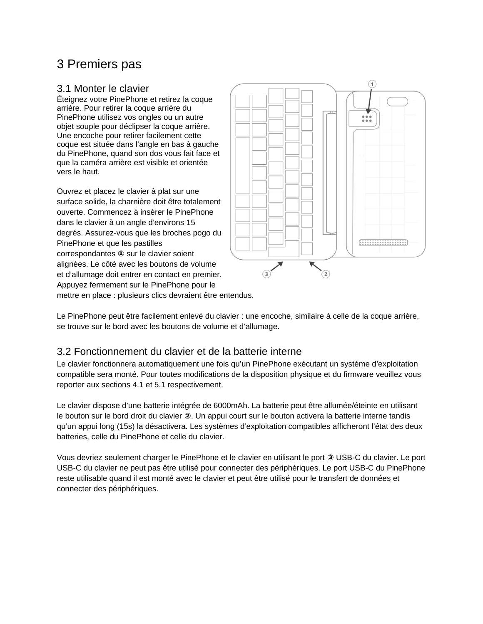## 3 Premiers pas

#### 3.1 Monter le clavier

Éteignez votre PinePhone et retirez la coque arrière. Pour retirer la coque arrière du PinePhone utilisez vos ongles ou un autre objet souple pour déclipser la coque arrière. Une encoche pour retirer facilement cette coque est située dans l'angle en bas à gauche du PinePhone, quand son dos vous fait face et que la caméra arrière est visible et orientée vers le haut.

Ouvrez et placez le clavier à plat sur une surface solide, la charnière doit être totalement ouverte. Commencez à insérer le PinePhone dans le clavier à un angle d'environs 15 degrés. Assurez-vous que les broches pogo du PinePhone et que les pastilles correspondantes **①** sur le clavier soient alignées. Le côté avec les boutons de volume et d'allumage doit entrer en contact en premier. Appuyez fermement sur le PinePhone pour le



mettre en place : plusieurs clics devraient être entendus.

Le PinePhone peut être facilement enlevé du clavier : une encoche, similaire à celle de la coque arrière, se trouve sur le bord avec les boutons de volume et d'allumage.

#### 3.2 Fonctionnement du clavier et de la batterie interne

Le clavier fonctionnera automatiquement une fois qu'un PinePhone exécutant un système d'exploitation compatible sera monté. Pour toutes modifications de la disposition physique et du firmware veuillez vous reporter aux sections 4.1 et 5.1 respectivement.

Le clavier dispose d'une batterie intégrée de 6000mAh. La batterie peut être allumée/éteinte en utilisant le bouton sur le bord droit du clavier **②**. Un appui court sur le bouton activera la batterie interne tandis qu'un appui long (15s) la désactivera. Les systèmes d'exploitation compatibles afficheront l'état des deux batteries, celle du PinePhone et celle du clavier.

Vous devriez seulement charger le PinePhone et le clavier en utilisant le port **③** USB-C du clavier. Le port USB-C du clavier ne peut pas être utilisé pour connecter des périphériques. Le port USB-C du PinePhone reste utilisable quand il est monté avec le clavier et peut être utilisé pour le transfert de données et connecter des périphériques.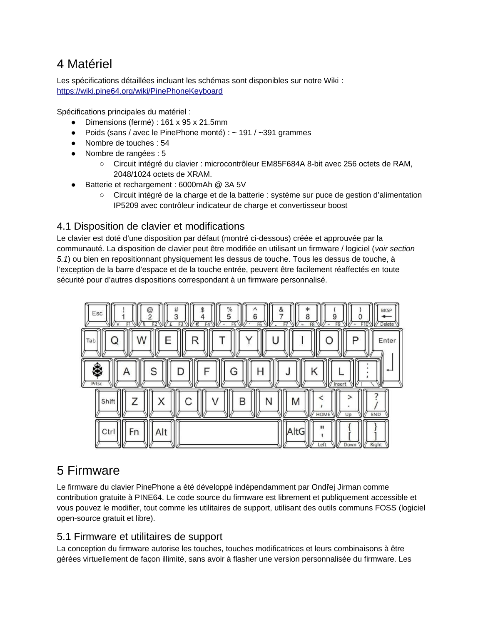## 4 Matériel

Les spécifications détaillées incluant les schémas sont disponibles sur notre Wiki : <https://wiki.pine64.org/wiki/PinePhoneKeyboard>

Spécifications principales du matériel :

- Dimensions (fermé) : 161 x 95 x 21.5mm
- Poids (sans / avec le PinePhone monté) :  $\sim$  191 /  $\sim$ 391 grammes
- Nombre de touches : 54
- Nombre de rangées : 5
	- Circuit intégré du clavier : microcontrôleur EM85F684A 8-bit avec 256 octets de RAM, 2048/1024 octets de XRAM.
- Batterie et rechargement : 6000mAh @ 3A 5V
	- Circuit intégré de la charge et de la batterie : système sur puce de gestion d'alimentation IP5209 avec contrôleur indicateur de charge et convertisseur boost

#### 4.1 Disposition de clavier et modifications

Le clavier est doté d'une disposition par défaut (montré ci-dessous) créée et approuvée par la communauté. La disposition de clavier peut être modifiée en utilisant un firmware / logiciel (*voir section 5.1*) ou bien en repositionnant physiquement les dessus de touche. Tous les dessus de touche, à l'exception de la barre d'espace et de la touche entrée, peuvent être facilement réaffectés en toute sécurité pour d'autres dispositions correspondant à un firmware personnalisé.



## 5 Firmware

Le firmware du clavier PinePhone a été développé indépendamment par Ondřej Jirman comme contribution gratuite à PINE64. Le code source du firmware est librement et publiquement accessible et vous pouvez le modifier, tout comme les utilitaires de support, utilisant des outils communs FOSS (logiciel open-source gratuit et libre).

#### 5.1 Firmware et utilitaires de support

La conception du firmware autorise les touches, touches modificatrices et leurs combinaisons à être gérées virtuellement de façon illimité, sans avoir à flasher une version personnalisée du firmware. Les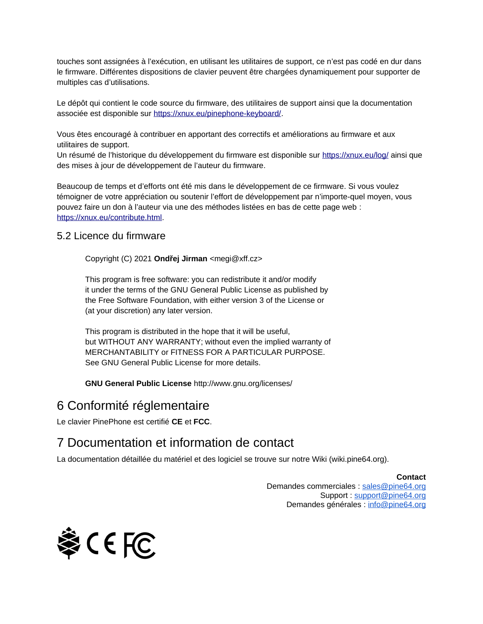touches sont assignées à l'exécution, en utilisant les utilitaires de support, ce n'est pas codé en dur dans le firmware. Différentes dispositions de clavier peuvent être chargées dynamiquement pour supporter de multiples cas d'utilisations.

Le dépôt qui contient le code source du firmware, des utilitaires de support ainsi que la documentation associée est disponible sur [https://xnux.eu/pinephone-keyboard/.](https://xnux.eu/pinephone-keyboard/)

Vous êtes encouragé à contribuer en apportant des correctifs et améliorations au firmware et aux utilitaires de support.

Un résumé de l'historique du développement du firmware est disponible sur <https://xnux.eu/log/>ainsi que des mises à jour de développement de l'auteur du firmware.

Beaucoup de temps et d'efforts ont été mis dans le développement de ce firmware. Si vous voulez témoigner de votre appréciation ou soutenir l'effort de développement par n'importe-quel moyen, vous pouvez faire un don à l'auteur via une des méthodes listées en bas de cette page web : <https://xnux.eu/contribute.html>.

#### 5.2 Licence du firmware

Copyright (C) 2021 **Ondřej Jirman** <megi@xff.cz>

This program is free software: you can redistribute it and/or modify it under the terms of the GNU General Public License as published by the Free Software Foundation, with either version 3 of the License or (at your discretion) any later version.

This program is distributed in the hope that it will be useful, but WITHOUT ANY WARRANTY; without even the implied warranty of MERCHANTABILITY or FITNESS FOR A PARTICULAR PURPOSE. See GNU General Public License for more details.

**GNU General Public License** http://www.gnu.org/licenses/

### 6 Conformité réglementaire

Le clavier PinePhone est certifié **CE** et **FCC**.

### 7 Documentation et information de contact

La documentation détaillée du matériel et des logiciel se trouve sur notre Wiki (wiki.pine64.org).

**Contact** 

Demandes commerciales : [sales@pine64.org](mailto:sales@pine64.org) Support : [support@pine64.org](mailto:support@pine64.org) Demandes générales : [info@pine64.org](mailto:info@pine64.org)

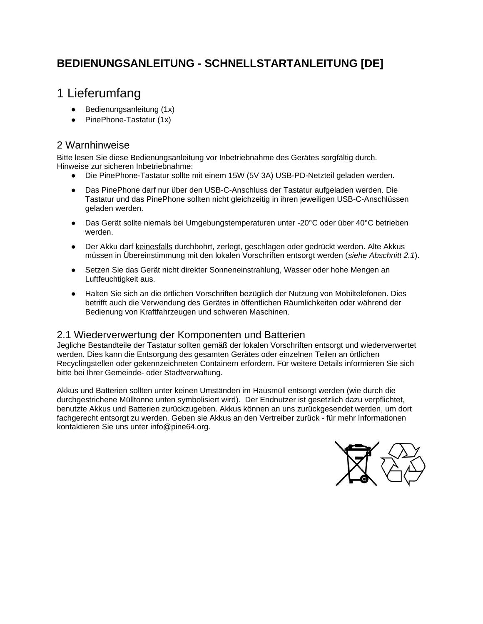### **BEDIENUNGSANLEITUNG - SCHNELLSTARTANLEITUNG [DE]**

## 1 Lieferumfang

- $\bullet$  Bedienungsanleitung  $(1x)$
- PinePhone-Tastatur (1x)

#### 2 Warnhinweise

Bitte lesen Sie diese Bedienungsanleitung vor Inbetriebnahme des Gerätes sorgfältig durch. Hinweise zur sicheren Inbetriebnahme:

- Die PinePhone-Tastatur sollte mit einem 15W (5V 3A) USB-PD-Netzteil geladen werden.
- Das PinePhone darf nur über den USB-C-Anschluss der Tastatur aufgeladen werden. Die Tastatur und das PinePhone sollten nicht gleichzeitig in ihren jeweiligen USB-C-Anschlüssen geladen werden.
- Das Gerät sollte niemals bei Umgebungstemperaturen unter -20°C oder über 40°C betrieben werden.
- Der Akku darf keinesfalls durchbohrt, zerlegt, geschlagen oder gedrückt werden. Alte Akkus müssen in Übereinstimmung mit den lokalen Vorschriften entsorgt werden (*siehe Abschnitt 2.1*).
- Setzen Sie das Gerät nicht direkter Sonneneinstrahlung, Wasser oder hohe Mengen an Luftfeuchtigkeit aus.
- Halten Sie sich an die örtlichen Vorschriften bezüglich der Nutzung von Mobiltelefonen. Dies betrifft auch die Verwendung des Gerätes in öffentlichen Räumlichkeiten oder während der Bedienung von Kraftfahrzeugen und schweren Maschinen.

#### 2.1 Wiederverwertung der Komponenten und Batterien

Jegliche Bestandteile der Tastatur sollten gemäß der lokalen Vorschriften entsorgt und wiederverwertet werden. Dies kann die Entsorgung des gesamten Gerätes oder einzelnen Teilen an örtlichen Recyclingstellen oder gekennzeichneten Containern erfordern. Für weitere Details informieren Sie sich bitte bei Ihrer Gemeinde- oder Stadtverwaltung.

Akkus und Batterien sollten unter keinen Umständen im Hausmüll entsorgt werden (wie durch die durchgestrichene Mülltonne unten symbolisiert wird). Der Endnutzer ist gesetzlich dazu verpflichtet, benutzte Akkus und Batterien zurückzugeben. Akkus können an uns zurückgesendet werden, um dort fachgerecht entsorgt zu werden. Geben sie Akkus an den Vertreiber zurück - für mehr Informationen kontaktieren Sie uns unter info@pine64.org.

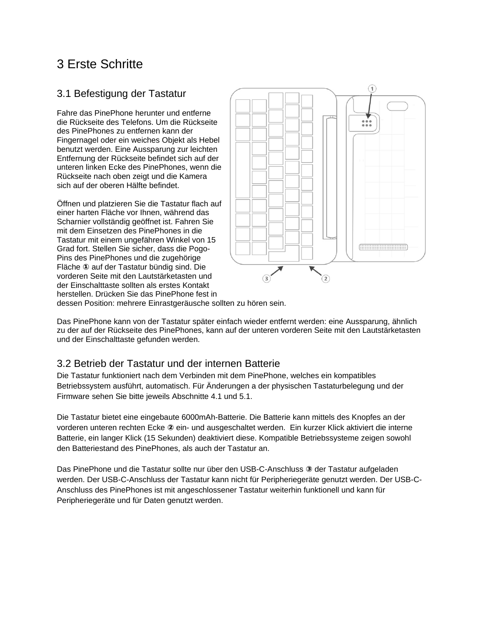## 3 Erste Schritte

#### 3.1 Befestigung der Tastatur

Fahre das PinePhone herunter und entferne die Rückseite des Telefons. Um die Rückseite des PinePhones zu entfernen kann der Fingernagel oder ein weiches Objekt als Hebel benutzt werden. Eine Aussparung zur leichten Entfernung der Rückseite befindet sich auf der unteren linken Ecke des PinePhones, wenn die Rückseite nach oben zeigt und die Kamera sich auf der oberen Hälfte befindet.

Öffnen und platzieren Sie die Tastatur flach auf einer harten Fläche vor Ihnen, während das Scharnier vollständig geöffnet ist. Fahren Sie mit dem Einsetzen des PinePhones in die Tastatur mit einem ungefähren Winkel von 15 Grad fort. Stellen Sie sicher, dass die Pogo-Pins des PinePhones und die zugehörige Fläche **①** auf der Tastatur bündig sind. Die vorderen Seite mit den Lautstärketasten und der Einschalttaste sollten als erstes Kontakt herstellen. Drücken Sie das PinePhone fest in



dessen Position: mehrere Einrastgeräusche sollten zu hören sein.

Das PinePhone kann von der Tastatur später einfach wieder entfernt werden: eine Aussparung, ähnlich zu der auf der Rückseite des PinePhones, kann auf der unteren vorderen Seite mit den Lautstärketasten und der Einschalttaste gefunden werden.

#### 3.2 Betrieb der Tastatur und der internen Batterie

Die Tastatur funktioniert nach dem Verbinden mit dem PinePhone, welches ein kompatibles Betriebssystem ausführt, automatisch. Für Änderungen a der physischen Tastaturbelegung und der Firmware sehen Sie bitte jeweils Abschnitte 4.1 und 5.1.

Die Tastatur bietet eine eingebaute 6000mAh-Batterie. Die Batterie kann mittels des Knopfes an der vorderen unteren rechten Ecke **②** ein- und ausgeschaltet werden. Ein kurzer Klick aktiviert die interne Batterie, ein langer Klick (15 Sekunden) deaktiviert diese. Kompatible Betriebssysteme zeigen sowohl den Batteriestand des PinePhones, als auch der Tastatur an.

Das PinePhone und die Tastatur sollte nur über den USB-C-Anschluss **③** der Tastatur aufgeladen werden. Der USB-C-Anschluss der Tastatur kann nicht für Peripheriegeräte genutzt werden. Der USB-C-Anschluss des PinePhones ist mit angeschlossener Tastatur weiterhin funktionell und kann für Peripheriegeräte und für Daten genutzt werden.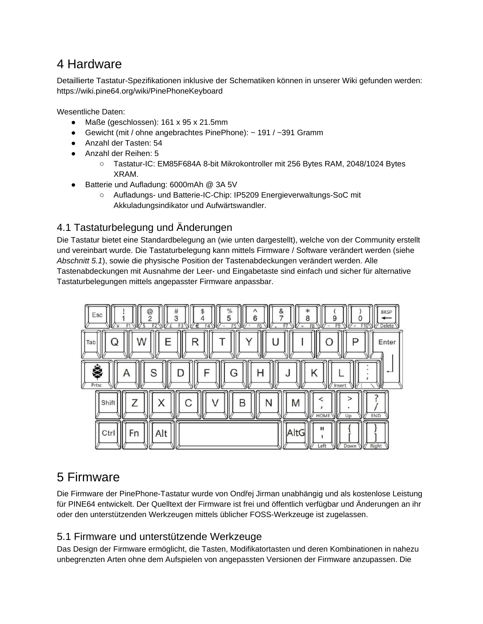## 4 Hardware

Detaillierte Tastatur-Spezifikationen inklusive der Schematiken können in unserer Wiki gefunden werden: https://wiki.pine64.org/wiki/PinePhoneKeyboard

Wesentliche Daten:

- Maße (geschlossen): 161 x 95 x 21.5mm
- Gewicht (mit / ohne angebrachtes PinePhone):  $\sim$  191 /  $\sim$ 391 Gramm
- Anzahl der Tasten: 54
- Anzahl der Reihen: 5
	- Tastatur-IC: EM85F684A 8-bit Mikrokontroller mit 256 Bytes RAM, 2048/1024 Bytes XRAM.
- Batterie und Aufladung: 6000mAh @ 3A 5V
	- Aufladungs- und Batterie-IC-Chip: IP5209 Energieverwaltungs-SoC mit Akkuladungsindikator und Aufwärtswandler.

#### 4.1 Tastaturbelegung und Änderungen

Die Tastatur bietet eine Standardbelegung an (wie unten dargestellt), welche von der Community erstellt und vereinbart wurde. Die Tastaturbelegung kann mittels Firmware / Software verändert werden (siehe *Abschnitt 5.1*), sowie die physische Position der Tastenabdeckungen verändert werden. Alle Tastenabdeckungen mit Ausnahme der Leer- und Eingabetaste sind einfach und sicher für alternative Tastaturbelegungen mittels angepasster Firmware anpassbar.



## 5 Firmware

Die Firmware der PinePhone-Tastatur wurde von Ondřej Jirman unabhängig und als kostenlose Leistung für PINE64 entwickelt. Der Quelltext der Firmware ist frei und öffentlich verfügbar und Änderungen an ihr oder den unterstützenden Werkzeugen mittels üblicher FOSS-Werkzeuge ist zugelassen.

#### 5.1 Firmware und unterstützende Werkzeuge

Das Design der Firmware ermöglicht, die Tasten, Modifikatortasten und deren Kombinationen in nahezu unbegrenzten Arten ohne dem Aufspielen von angepassten Versionen der Firmware anzupassen. Die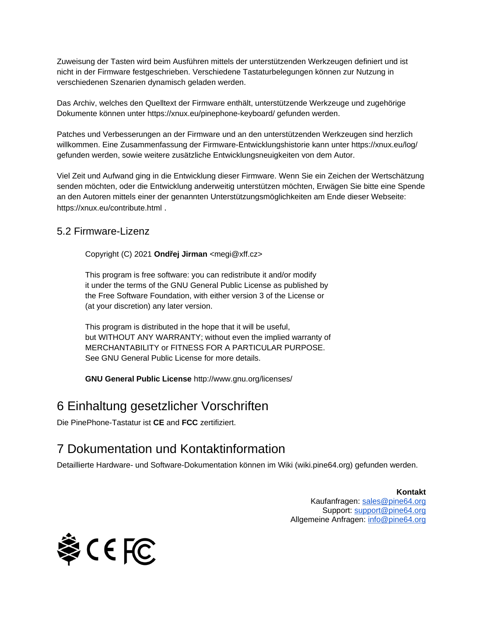Zuweisung der Tasten wird beim Ausführen mittels der unterstützenden Werkzeugen definiert und ist nicht in der Firmware festgeschrieben. Verschiedene Tastaturbelegungen können zur Nutzung in verschiedenen Szenarien dynamisch geladen werden.

Das Archiv, welches den Quelltext der Firmware enthält, unterstützende Werkzeuge und zugehörige Dokumente können unter https://xnux.eu/pinephone-keyboard/ gefunden werden.

Patches und Verbesserungen an der Firmware und an den unterstützenden Werkzeugen sind herzlich willkommen. Eine Zusammenfassung der Firmware-Entwicklungshistorie kann unter https://xnux.eu/log/ gefunden werden, sowie weitere zusätzliche Entwicklungsneuigkeiten von dem Autor.

Viel Zeit und Aufwand ging in die Entwicklung dieser Firmware. Wenn Sie ein Zeichen der Wertschätzung senden möchten, oder die Entwicklung anderweitig unterstützen möchten, Erwägen Sie bitte eine Spende an den Autoren mittels einer der genannten Unterstützungsmöglichkeiten am Ende dieser Webseite: https://xnux.eu/contribute.html .

#### 5.2 Firmware-Lizenz

Copyright (C) 2021 **Ondřej Jirman** <megi@xff.cz>

This program is free software: you can redistribute it and/or modify it under the terms of the GNU General Public License as published by the Free Software Foundation, with either version 3 of the License or (at your discretion) any later version.

This program is distributed in the hope that it will be useful, but WITHOUT ANY WARRANTY; without even the implied warranty of MERCHANTABILITY or FITNESS FOR A PARTICULAR PURPOSE. See GNU General Public License for more details.

**GNU General Public License** http://www.gnu.org/licenses/

### 6 Einhaltung gesetzlicher Vorschriften

Die PinePhone-Tastatur ist **CE** and **FCC** zertifiziert.

## 7 Dokumentation und Kontaktinformation

Detaillierte Hardware- und Software-Dokumentation können im Wiki (wiki.pine64.org) gefunden werden.

**Kontakt**  Kaufanfragen: [sales@pine64.org](mailto:sales@pine64.org) Support: [support@pine64.org](mailto:support@pine64.org) Allgemeine Anfragen: [info@pine64.org](mailto:info@pine64.org)

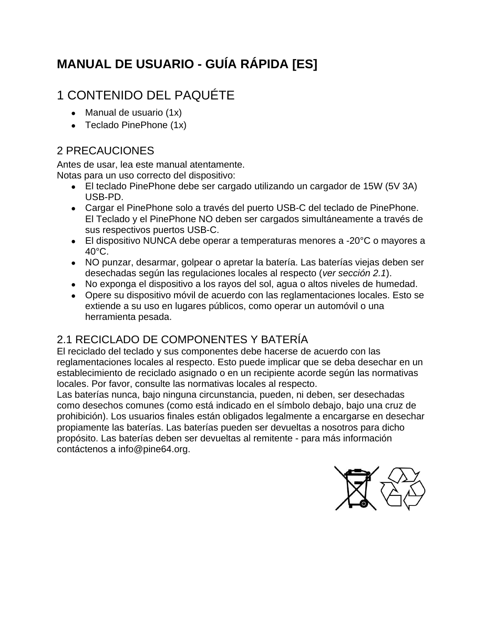# **MANUAL DE USUARIO - GUÍA RÁPIDA [ES]**

# 1 CONTENIDO DEL PAQUÉTE

- $\bullet$  Manual de usuario  $(1x)$
- Teclado PinePhone  $(1x)$

### 2 PRECAUCIONES

Antes de usar, lea este manual atentamente. Notas para un uso correcto del dispositivo:

- El teclado PinePhone debe ser cargado utilizando un cargador de 15W (5V 3A) USB-PD.
- Cargar el PinePhone solo a través del puerto USB-C del teclado de PinePhone. El Teclado y el PinePhone NO deben ser cargados simultáneamente a través de sus respectivos puertos USB-C.
- **•** El dispositivo NUNCA debe operar a temperaturas menores a -20 $^{\circ}$ C o mayores a 40°C.
- NO punzar, desarmar, golpear o apretar la batería. Las baterías viejas deben ser desechadas según las regulaciones locales al respecto (*ver sección 2.1*).
- No exponga el dispositivo a los rayos del sol, agua o altos niveles de humedad.
- Opere su dispositivo móvil de acuerdo con las reglamentaciones locales. Esto se extiende a su uso en lugares públicos, como operar un automóvil o una herramienta pesada.

## 2.1 RECICLADO DE COMPONENTES Y BATERÍA

El reciclado del teclado y sus componentes debe hacerse de acuerdo con las reglamentaciones locales al respecto. Esto puede implicar que se deba desechar en un establecimiento de reciclado asignado o en un recipiente acorde según las normativas locales. Por favor, consulte las normativas locales al respecto.

Las baterías nunca, bajo ninguna circunstancia, pueden, ni deben, ser desechadas como desechos comunes (como está indicado en el símbolo debajo, bajo una cruz de prohibición). Los usuarios finales están obligados legalmente a encargarse en desechar propiamente las baterías. Las baterías pueden ser devueltas a nosotros para dicho propósito. Las baterías deben ser devueltas al remitente - para más información contáctenos a info@pine64.org.

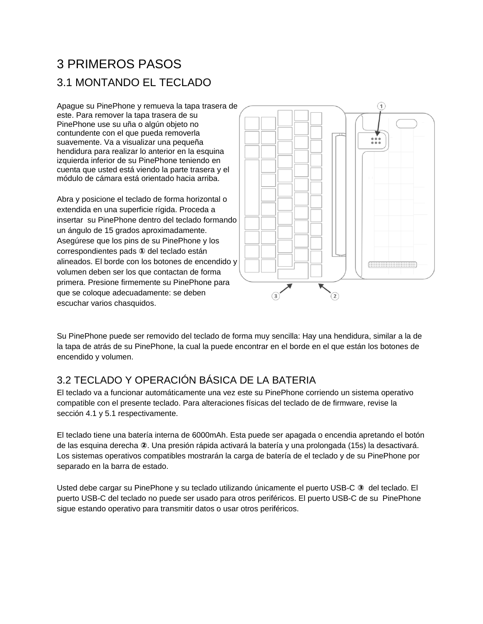# 3 PRIMEROS PASOS 3.1 MONTANDO EL TECLADO

Apague su PinePhone y remueva la tapa trasera de este. Para remover la tapa trasera de su PinePhone use su uña o algún objeto no contundente con el que pueda removerla suavemente. Va a visualizar una pequeña hendidura para realizar lo anterior en la esquina izquierda inferior de su PinePhone teniendo en cuenta que usted está viendo la parte trasera y el módulo de cámara está orientado hacia arriba.

Abra y posicione el teclado de forma horizontal o extendida en una superficie rígida. Proceda a insertar su PinePhone dentro del teclado formando un ángulo de 15 grados aproximadamente. Asegúrese que los pins de su PinePhone y los correspondientes pads **①** del teclado están alineados. El borde con los botones de encendido y volumen deben ser los que contactan de forma primera. Presione firmemente su PinePhone para que se coloque adecuadamente: se deben escuchar varios chasquidos.



Su PinePhone puede ser removido del teclado de forma muy sencilla: Hay una hendidura, similar a la de la tapa de atrás de su PinePhone, la cual la puede encontrar en el borde en el que están los botones de encendido y volumen.

### 3.2 TECLADO Y OPERACIÓN BÁSICA DE LA BATERIA

El teclado va a funcionar automáticamente una vez este su PinePhone corriendo un sistema operativo compatible con el presente teclado. Para alteraciones físicas del teclado de de firmware, revise la sección 4.1 y 5.1 respectivamente.

El teclado tiene una batería interna de 6000mAh. Esta puede ser apagada o encendia apretando el botón de las esquina derecha **②**. Una presión rápida activará la batería y una prolongada (15s) la desactivará. Los sistemas operativos compatibles mostrarán la carga de batería de el teclado y de su PinePhone por separado en la barra de estado.

Usted debe cargar su PinePhone y su teclado utilizando únicamente el puerto USB-C **③** del teclado. El puerto USB-C del teclado no puede ser usado para otros periféricos. El puerto USB-C de su PinePhone sigue estando operativo para transmitir datos o usar otros periféricos.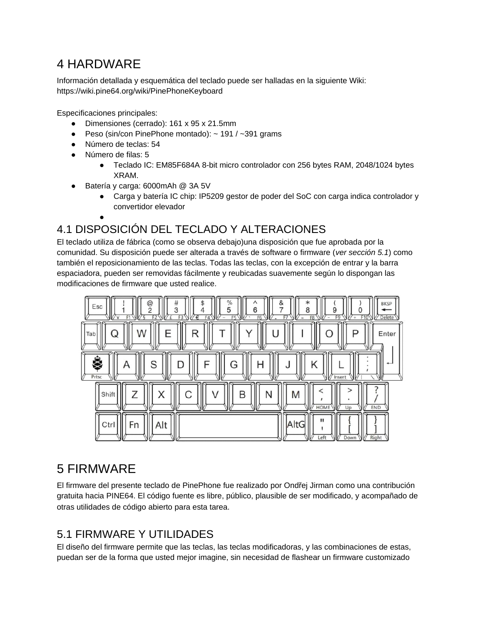## 4 HARDWARE

Información detallada y esquemática del teclado puede ser halladas en la siguiente Wiki: https://wiki.pine64.org/wiki/PinePhoneKeyboard

Especificaciones principales:

- Dimensiones (cerrado): 161 x 95 x 21.5mm
- Peso (sin/con PinePhone montado):  $\sim$  191 /  $\sim$ 391 grams
- Número de teclas: 54
- Número de filas: 5
	- Teclado IC: EM85F684A 8-bit micro controlador con 256 bytes RAM, 2048/1024 bytes XRAM.
- Batería y carga: 6000mAh @ 3A 5V
	- Carga y batería IC chip: IP5209 gestor de poder del SoC con carga indica controlador y convertidor elevador
	- ●

## 4.1 DISPOSICIÓN DEL TECLADO Y ALTERACIONES

El teclado utiliza de fábrica (como se observa debajo)una disposición que fue aprobada por la comunidad. Su disposición puede ser alterada a través de software o firmware (*ver sección 5.1*) como también el reposicionamiento de las teclas. Todas las teclas, con la excepción de entrar y la barra espaciadora, pueden ser removidas fácilmente y reubicadas suavemente según lo dispongan las modificaciones de firmware que usted realice.



## 5 FIRMWARE

El firmware del presente teclado de PinePhone fue realizado por Ondřej Jirman como una contribución gratuita hacia PINE64. El código fuente es libre, público, plausible de ser modificado, y acompañado de otras utilidades de código abierto para esta tarea.

### 5.1 FIRMWARE Y UTILIDADES

El diseño del firmware permite que las teclas, las teclas modificadoras, y las combinaciones de estas, puedan ser de la forma que usted mejor imagine, sin necesidad de flashear un firmware customizado